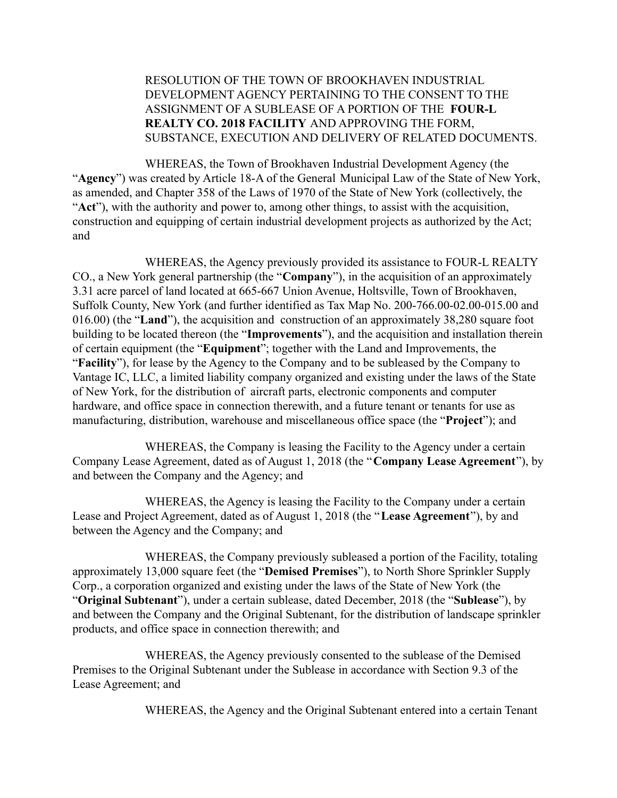## RESOLUTION OF THE TOWN OF BROOKHAVEN INDUSTRIAL DEVELOPMENT AGENCY PERTAINING TO THE CONSENT TO THE ASSIGNMENT OF A SUBLEASE OF A PORTION OF THE **FOUR-L REALTY CO. 2018 FACILITY** AND APPROVING THE FORM, SUBSTANCE, EXECUTION AND DELIVERY OF RELATED DOCUMENTS.

WHEREAS, the Town of Brookhaven Industrial Development Agency (the "**Agency**") was created by Article 18-A of the General Municipal Law of the State of New York, as amended, and Chapter 358 of the Laws of 1970 of the State of New York (collectively, the "**Act**"), with the authority and power to, among other things, to assist with the acquisition, construction and equipping of certain industrial development projects as authorized by the Act; and

WHEREAS, the Agency previously provided its assistance to FOUR-L REALTY CO., a New York general partnership (the "**Company**"), in the acquisition of an approximately 3.31 acre parcel of land located at 665-667 Union Avenue, Holtsville, Town of Brookhaven, Suffolk County, New York (and further identified as Tax Map No. 200-766.00-02.00-015.00 and 016.00) (the "**Land**"), the acquisition and construction of an approximately 38,280 square foot building to be located thereon (the "**Improvements**"), and the acquisition and installation therein of certain equipment (the "**Equipment**"; together with the Land and Improvements, the "**Facility**"), for lease by the Agency to the Company and to be subleased by the Company to Vantage IC, LLC, a limited liability company organized and existing under the laws of the State of New York, for the distribution of aircraft parts, electronic components and computer hardware, and office space in connection therewith, and a future tenant or tenants for use as manufacturing, distribution, warehouse and miscellaneous office space (the "**Project**"); and

WHEREAS, the Company is leasing the Facility to the Agency under a certain Company Lease Agreement, dated as of August 1, 2018 (the "**Company Lease Agreement**"), by and between the Company and the Agency; and

WHEREAS, the Agency is leasing the Facility to the Company under a certain Lease and Project Agreement, dated as of August 1, 2018 (the "**Lease Agreement**"), by and between the Agency and the Company; and

WHEREAS, the Company previously subleased a portion of the Facility, totaling approximately 13,000 square feet (the "**Demised Premises**"), to North Shore Sprinkler Supply Corp., a corporation organized and existing under the laws of the State of New York (the "**Original Subtenant**"), under a certain sublease, dated December, 2018 (the "**Sublease**"), by and between the Company and the Original Subtenant, for the distribution of landscape sprinkler products, and office space in connection therewith; and

WHEREAS, the Agency previously consented to the sublease of the Demised Premises to the Original Subtenant under the Sublease in accordance with Section 9.3 of the Lease Agreement; and

WHEREAS, the Agency and the Original Subtenant entered into a certain Tenant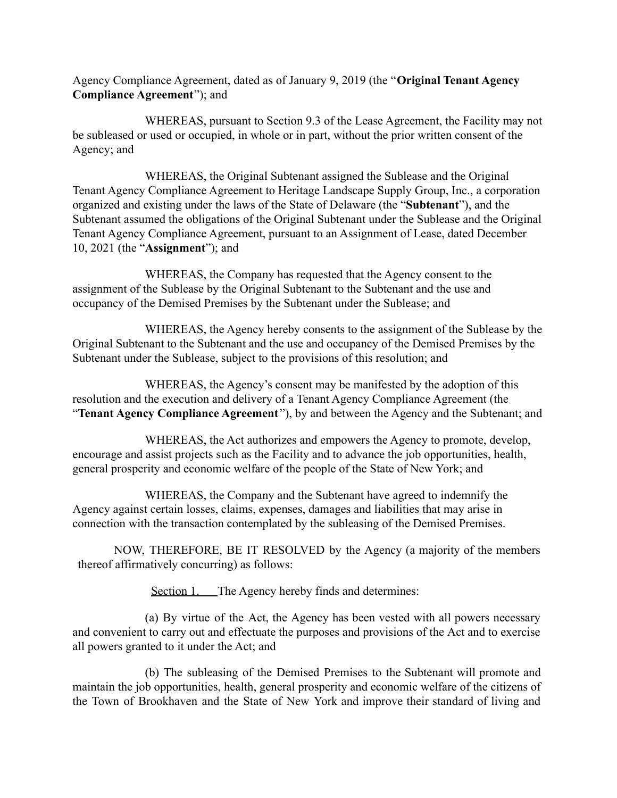Agency Compliance Agreement, dated as of January 9, 2019 (the "**Original Tenant Agency Compliance Agreement**"); and

WHEREAS, pursuant to Section 9.3 of the Lease Agreement, the Facility may not be subleased or used or occupied, in whole or in part, without the prior written consent of the Agency; and

WHEREAS, the Original Subtenant assigned the Sublease and the Original Tenant Agency Compliance Agreement to Heritage Landscape Supply Group, Inc., a corporation organized and existing under the laws of the State of Delaware (the "**Subtenant**"), and the Subtenant assumed the obligations of the Original Subtenant under the Sublease and the Original Tenant Agency Compliance Agreement, pursuant to an Assignment of Lease, dated December 10, 2021 (the "**Assignment**"); and

WHEREAS, the Company has requested that the Agency consent to the assignment of the Sublease by the Original Subtenant to the Subtenant and the use and occupancy of the Demised Premises by the Subtenant under the Sublease; and

WHEREAS, the Agency hereby consents to the assignment of the Sublease by the Original Subtenant to the Subtenant and the use and occupancy of the Demised Premises by the Subtenant under the Sublease, subject to the provisions of this resolution; and

WHEREAS, the Agency's consent may be manifested by the adoption of this resolution and the execution and delivery of a Tenant Agency Compliance Agreement (the "**Tenant Agency Compliance Agreement** "), by and between the Agency and the Subtenant; and

WHEREAS, the Act authorizes and empowers the Agency to promote, develop, encourage and assist projects such as the Facility and to advance the job opportunities, health, general prosperity and economic welfare of the people of the State of New York; and

WHEREAS, the Company and the Subtenant have agreed to indemnify the Agency against certain losses, claims, expenses, damages and liabilities that may arise in connection with the transaction contemplated by the subleasing of the Demised Premises.

NOW, THEREFORE, BE IT RESOLVED by the Agency (a majority of the members thereof affirmatively concurring) as follows:

Section 1. The Agency hereby finds and determines:

(a) By virtue of the Act, the Agency has been vested with all powers necessary and convenient to carry out and effectuate the purposes and provisions of the Act and to exercise all powers granted to it under the Act; and

(b) The subleasing of the Demised Premises to the Subtenant will promote and maintain the job opportunities, health, general prosperity and economic welfare of the citizens of the Town of Brookhaven and the State of New York and improve their standard of living and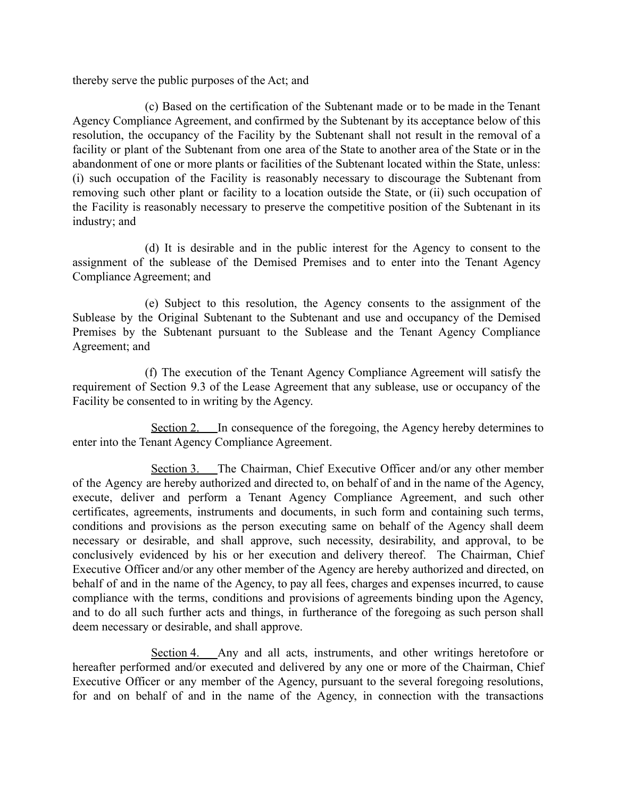thereby serve the public purposes of the Act; and

(c) Based on the certification of the Subtenant made or to be made in the Tenant Agency Compliance Agreement, and confirmed by the Subtenant by its acceptance below of this resolution, the occupancy of the Facility by the Subtenant shall not result in the removal of a facility or plant of the Subtenant from one area of the State to another area of the State or in the abandonment of one or more plants or facilities of the Subtenant located within the State, unless: (i) such occupation of the Facility is reasonably necessary to discourage the Subtenant from removing such other plant or facility to a location outside the State, or (ii) such occupation of the Facility is reasonably necessary to preserve the competitive position of the Subtenant in its industry; and

(d) It is desirable and in the public interest for the Agency to consent to the assignment of the sublease of the Demised Premises and to enter into the Tenant Agency Compliance Agreement; and

(e) Subject to this resolution, the Agency consents to the assignment of the Sublease by the Original Subtenant to the Subtenant and use and occupancy of the Demised Premises by the Subtenant pursuant to the Sublease and the Tenant Agency Compliance Agreement; and

(f) The execution of the Tenant Agency Compliance Agreement will satisfy the requirement of Section 9.3 of the Lease Agreement that any sublease, use or occupancy of the Facility be consented to in writing by the Agency.

Section 2. In consequence of the foregoing, the Agency hereby determines to enter into the Tenant Agency Compliance Agreement.

Section 3. The Chairman, Chief Executive Officer and/or any other member of the Agency are hereby authorized and directed to, on behalf of and in the name of the Agency, execute, deliver and perform a Tenant Agency Compliance Agreement, and such other certificates, agreements, instruments and documents, in such form and containing such terms, conditions and provisions as the person executing same on behalf of the Agency shall deem necessary or desirable, and shall approve, such necessity, desirability, and approval, to be conclusively evidenced by his or her execution and delivery thereof. The Chairman, Chief Executive Officer and/or any other member of the Agency are hereby authorized and directed, on behalf of and in the name of the Agency, to pay all fees, charges and expenses incurred, to cause compliance with the terms, conditions and provisions of agreements binding upon the Agency, and to do all such further acts and things, in furtherance of the foregoing as such person shall deem necessary or desirable, and shall approve.

Section 4. Any and all acts, instruments, and other writings heretofore or hereafter performed and/or executed and delivered by any one or more of the Chairman, Chief Executive Officer or any member of the Agency, pursuant to the several foregoing resolutions, for and on behalf of and in the name of the Agency, in connection with the transactions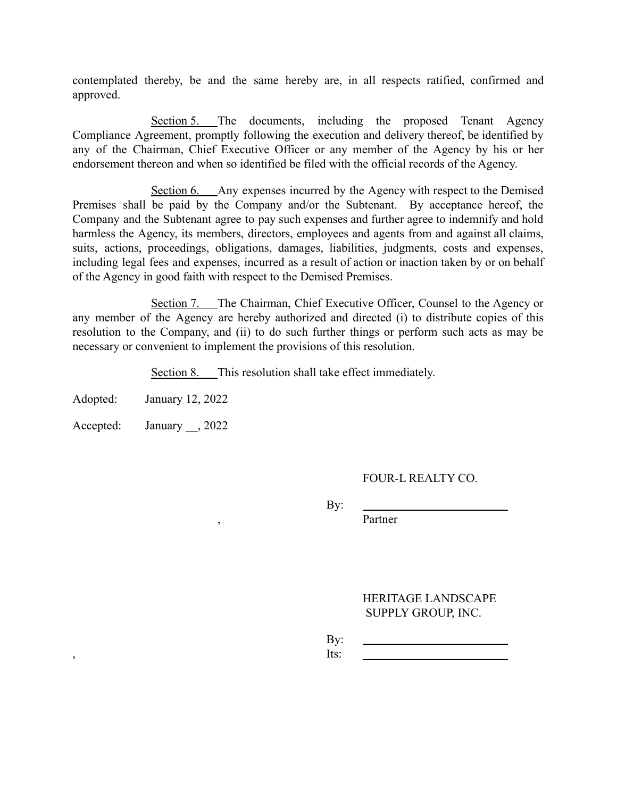contemplated thereby, be and the same hereby are, in all respects ratified, confirmed and approved.

Section 5. The documents, including the proposed Tenant Agency Compliance Agreement, promptly following the execution and delivery thereof, be identified by any of the Chairman, Chief Executive Officer or any member of the Agency by his or her endorsement thereon and when so identified be filed with the official records of the Agency.

Section 6. Any expenses incurred by the Agency with respect to the Demised Premises shall be paid by the Company and/or the Subtenant. By acceptance hereof, the Company and the Subtenant agree to pay such expenses and further agree to indemnify and hold harmless the Agency, its members, directors, employees and agents from and against all claims, suits, actions, proceedings, obligations, damages, liabilities, judgments, costs and expenses, including legal fees and expenses, incurred as a result of action or inaction taken by or on behalf of the Agency in good faith with respect to the Demised Premises.

Section 7. The Chairman, Chief Executive Officer, Counsel to the Agency or any member of the Agency are hereby authorized and directed (i) to distribute copies of this resolution to the Company, and (ii) to do such further things or perform such acts as may be necessary or convenient to implement the provisions of this resolution.

Section 8. This resolution shall take effect immediately.

Adopted: January 12, 2022

Accepted: January \_\_, 2022

## FOUR-L REALTY CO.

By:

, Partner

HERITAGE LANDSCAPE SUPPLY GROUP, INC.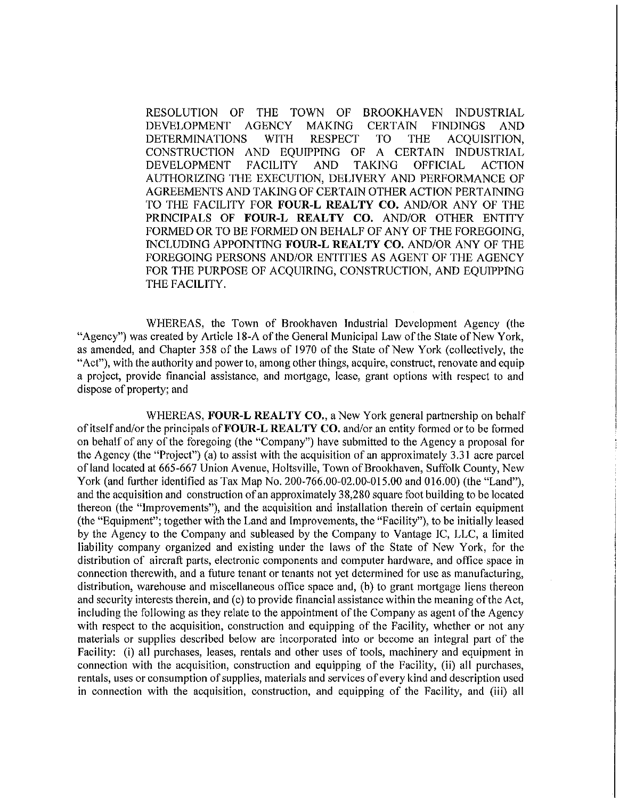RESOLUTION OF THE TOWN OF **BROOKHAVEN INDUSTRIAL DEVELOPMENT AGENCY MAKING CERTAIN FINDINGS** AND **DETERMINATIONS WITH RESPECT TO THE** ACQUISITION, CONSTRUCTION AND EOUIPPING OF A CERTAIN INDUSTRIAL **DEVELOPMENT FACILITY AND TAKING OFFICIAL ACTION** AUTHORIZING THE EXECUTION, DELIVERY AND PERFORMANCE OF AGREEMENTS AND TAKING OF CERTAIN OTHER ACTION PERTAINING TO THE FACILITY FOR FOUR-L REALTY CO. AND/OR ANY OF THE PRINCIPALS OF FOUR-L REALTY CO. AND/OR OTHER ENTITY FORMED OR TO BE FORMED ON BEHALF OF ANY OF THE FOREGOING. INCLUDING APPOINTING FOUR-L REALTY CO. AND/OR ANY OF THE FOREGOING PERSONS AND/OR ENTITIES AS AGENT OF THE AGENCY FOR THE PURPOSE OF ACQUIRING, CONSTRUCTION, AND EQUIPPING THE FACILITY.

WHEREAS, the Town of Brookhaven Industrial Development Agency (the "Agency") was created by Article 18-A of the General Municipal Law of the State of New York, as amended, and Chapter 358 of the Laws of 1970 of the State of New York (collectively, the "Act"), with the authority and power to, among other things, acquire, construct, renovate and equip a project, provide financial assistance, and mortgage, lease, grant options with respect to and dispose of property; and

WHEREAS, FOUR-L REALTY CO., a New York general partnership on behalf of itself and/or the principals of FOUR-L REALTY CO, and/or an entity formed or to be formed on behalf of any of the foregoing (the "Company") have submitted to the Agency a proposal for the Agency (the "Project") (a) to assist with the acquisition of an approximately 3.31 acre parcel of land located at 665-667 Union Avenue, Holtsville, Town of Brookhaven, Suffolk County, New York (and further identified as Tax Map No. 200-766.00-02.00-015.00 and 016.00) (the "Land"). and the acquisition and construction of an approximately 38,280 square foot building to be located thereon (the "Improvements"), and the acquisition and installation therein of certain equipment (the "Equipment"; together with the Land and Improvements, the "Facility"), to be initially leased by the Agency to the Company and subleased by the Company to Vantage IC, LLC, a limited liability company organized and existing under the laws of the State of New York, for the distribution of aircraft parts, electronic components and computer hardware, and office space in connection therewith, and a future tenant or tenants not yet determined for use as manufacturing, distribution, warehouse and miscellaneous office space and, (b) to grant mortgage liens thereon and security interests therein, and (c) to provide financial assistance within the meaning of the Act, including the following as they relate to the appointment of the Company as agent of the Agency with respect to the acquisition, construction and equipping of the Facility, whether or not any materials or supplies described below are incorporated into or become an integral part of the Facility: (i) all purchases, leases, rentals and other uses of tools, machinery and equipment in connection with the acquisition, construction and equipping of the Facility, (ii) all purchases, rentals, uses or consumption of supplies, materials and services of every kind and description used in connection with the acquisition, construction, and equipping of the Facility, and (iii) all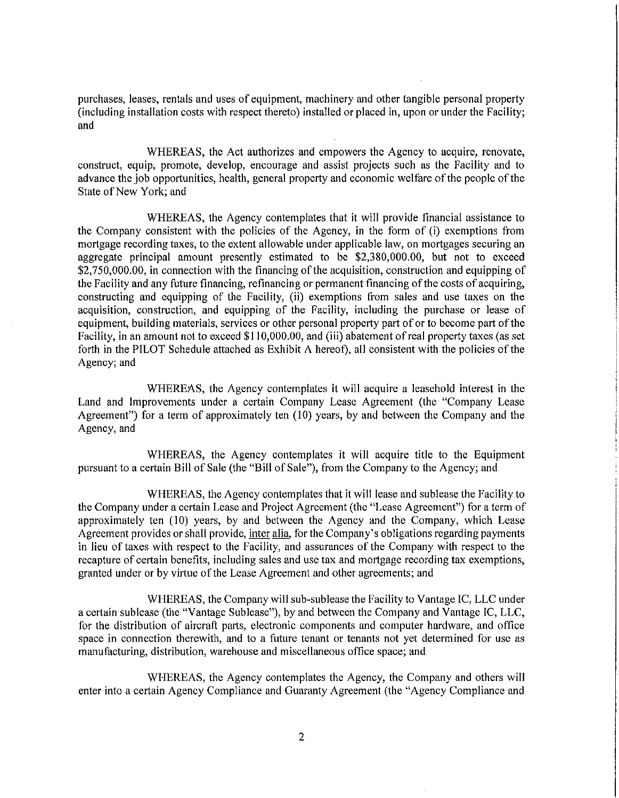purchases, leases, rentals and uses of equipment, machinery and other tangible personal property (including installation costs with respect thereto) installed or placed in, upon or under the Facility; and

WHEREAS, the Act authorizes and empowers the Agency to acquire, renovate, construct, equip, promote, develop, encourage and assist projects such as the Facility and to advance the job opportunities, health, general property and economic welfare of the people of the State of New York; and

WHEREAS, the Agency contemplates that it will provide financial assistance to the Company consistent with the policies of the Agency, in the form of (i) exemptions from mortgage recording taxes, to the extent allowable under applicable law, on mortgages securing an aggregate principal amount presently estimated to be \$2,380,000.00, but not to exceed \$2,750,000.00, in connection with the financing of the acquisition, construction and equipping of the Facility and any future financing, refinancing or permanent financing of the costs of acquiring, constructing and equipping of the Facility, (ii) exemptions from sales and use taxes on the acquisition, construction, and equipping of the Facility, including the purchase or lease of equipment, building materials, services or other personal property part of or to become part of the Facility, in an amount not to exceed \$110,000.00, and (iii) abatement of real property taxes (as set forth in the PILOT Schedule attached as Exhibit A hereof), all consistent with the policies of the Agency; and

WHEREAS, the Agency contemplates it will acquire a leasehold interest in the Land and Improvements under a certain Company Lease Agreement (the "Company Lease Agreement") for a term of approximately ten (10) years, by and between the Company and the Agency, and

WHEREAS, the Agency contemplates it will acquire title to the Equipment pursuant to a certain Bill of Sale (the "Bill of Sale"), from the Company to the Agency; and

WHEREAS, the Agency contemplates that it will lease and sublease the Facility to the Company under a certain Lease and Project Agreement (the "Lease Agreement") for a term of approximately ten (10) years, by and between the Agency and the Company, which Lease Agreement provides or shall provide, inter alia, for the Company's obligations regarding payments in lieu of taxes with respect to the Facility, and assurances of the Company with respect to the recapture of certain benefits, including sales and use tax and mortgage recording tax exemptions, granted under or by virtue of the Lease Agreement and other agreements; and

WHEREAS, the Company will sub-sublease the Facility to Vantage IC, LLC under a certain sublease (the "Vantage Sublease"), by and between the Company and Vantage IC, LLC, for the distribution of aircraft parts, electronic components and computer hardware, and office space in connection therewith, and to a future tenant or tenants not yet determined for use as manufacturing, distribution, warehouse and miscellaneous office space; and

WHEREAS, the Agency contemplates the Agency, the Company and others will enter into a certain Agency Compliance and Guaranty Agreement (the "Agency Compliance and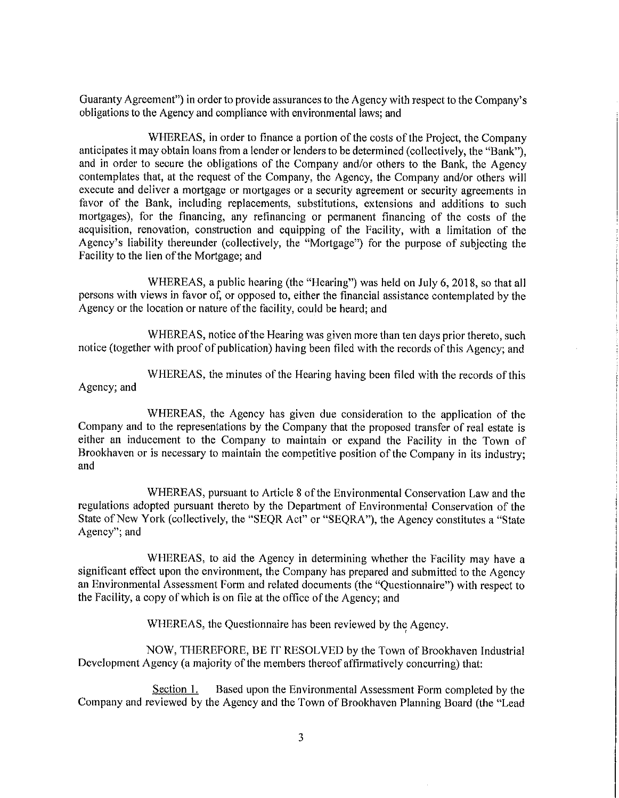Guaranty Agreement") in order to provide assurances to the Agency with respect to the Company's obligations to the Agency and compliance with environmental laws; and

WHEREAS, in order to finance a portion of the costs of the Project, the Company anticipates it may obtain loans from a lender or lenders to be determined (collectively, the "Bank"). and in order to secure the obligations of the Company and/or others to the Bank, the Agency contemplates that, at the request of the Company, the Agency, the Company and/or others will execute and deliver a mortgage or mortgages or a security agreement or security agreements in favor of the Bank, including replacements, substitutions, extensions and additions to such mortgages), for the financing, any refinancing or permanent financing of the costs of the acquisition, renovation, construction and equipping of the Facility, with a limitation of the Agency's liability thereunder (collectively, the "Mortgage") for the purpose of subjecting the Facility to the lien of the Mortgage; and

WHEREAS, a public hearing (the "Hearing") was held on July 6, 2018, so that all persons with views in favor of, or opposed to, either the financial assistance contemplated by the Agency or the location or nature of the facility, could be heard; and

WHEREAS, notice of the Hearing was given more than ten days prior thereto, such notice (together with proof of publication) having been filed with the records of this Agency; and

WHEREAS, the minutes of the Hearing having been filed with the records of this Agency; and

WHEREAS, the Agency has given due consideration to the application of the Company and to the representations by the Company that the proposed transfer of real estate is either an inducement to the Company to maintain or expand the Facility in the Town of Brookhaven or is necessary to maintain the competitive position of the Company in its industry; and

WHEREAS, pursuant to Article 8 of the Environmental Conservation Law and the regulations adopted pursuant thereto by the Department of Environmental Conservation of the State of New York (collectively, the "SEQR Act" or "SEQRA"), the Agency constitutes a "State Agency"; and

WHEREAS, to aid the Agency in determining whether the Facility may have a significant effect upon the environment, the Company has prepared and submitted to the Agency an Environmental Assessment Form and related documents (the "Questionnaire") with respect to the Facility, a copy of which is on file at the office of the Agency; and

WHEREAS, the Questionnaire has been reviewed by the Agency.

NOW, THEREFORE, BE IT RESOLVED by the Town of Brookhaven Industrial Development Agency (a majority of the members thereof affirmatively concurring) that:

Based upon the Environmental Assessment Form completed by the Section 1. Company and reviewed by the Agency and the Town of Brookhaven Planning Board (the "Lead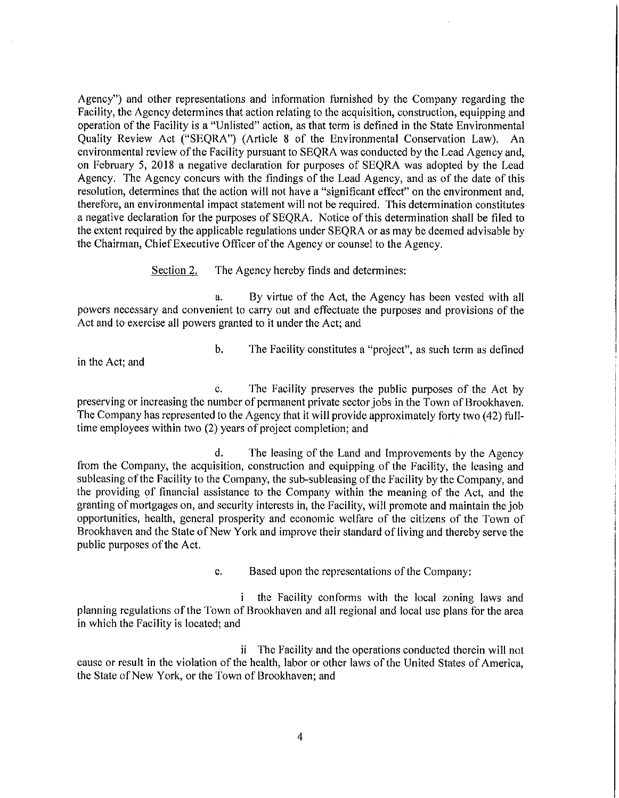Agency") and other representations and information furnished by the Company regarding the Facility, the Agency determines that action relating to the acquisition, construction, equipping and operation of the Facility is a "Unlisted" action, as that term is defined in the State Environmental Quality Review Act ("SEQRA") (Article 8 of the Environmental Conservation Law). An environmental review of the Facility pursuant to SEORA was conducted by the Lead Agency and, on February 5, 2018 a negative declaration for purposes of SEQRA was adopted by the Lead Agency. The Agency concurs with the findings of the Lead Agency, and as of the date of this resolution, determines that the action will not have a "significant effect" on the environment and, therefore, an environmental impact statement will not be required. This determination constitutes a negative declaration for the purposes of SEORA. Notice of this determination shall be filed to the extent required by the applicable regulations under SEQRA or as may be deemed advisable by the Chairman, Chief Executive Officer of the Agency or counsel to the Agency.

> The Agency hereby finds and determines: Section 2.

By virtue of the Act, the Agency has been vested with all a. powers necessary and convenient to carry out and effectuate the purposes and provisions of the Act and to exercise all powers granted to it under the Act; and

in the Act; and

 $\mathbf{b}$ . The Facility constitutes a "project", as such term as defined

The Facility preserves the public purposes of the Act by  $\mathbf{C}$ preserving or increasing the number of permanent private sector jobs in the Town of Brookhaven. The Company has represented to the Agency that it will provide approximately forty two (42) fulltime employees within two (2) years of project completion; and

The leasing of the Land and Improvements by the Agency d. from the Company, the acquisition, construction and equipping of the Facility, the leasing and subleasing of the Facility to the Company, the sub-subleasing of the Facility by the Company, and the providing of financial assistance to the Company within the meaning of the Act, and the granting of mortgages on, and security interests in, the Facility, will promote and maintain the job opportunities, health, general prosperity and economic welfare of the citizens of the Town of Brookhaven and the State of New York and improve their standard of living and thereby serve the public purposes of the Act.

> e. Based upon the representations of the Company:

 $\mathbf{i}$ the Facility conforms with the local zoning laws and planning regulations of the Town of Brookhaven and all regional and local use plans for the area in which the Facility is located; and

ii The Facility and the operations conducted therein will not cause or result in the violation of the health, labor or other laws of the United States of America, the State of New York, or the Town of Brookhaven; and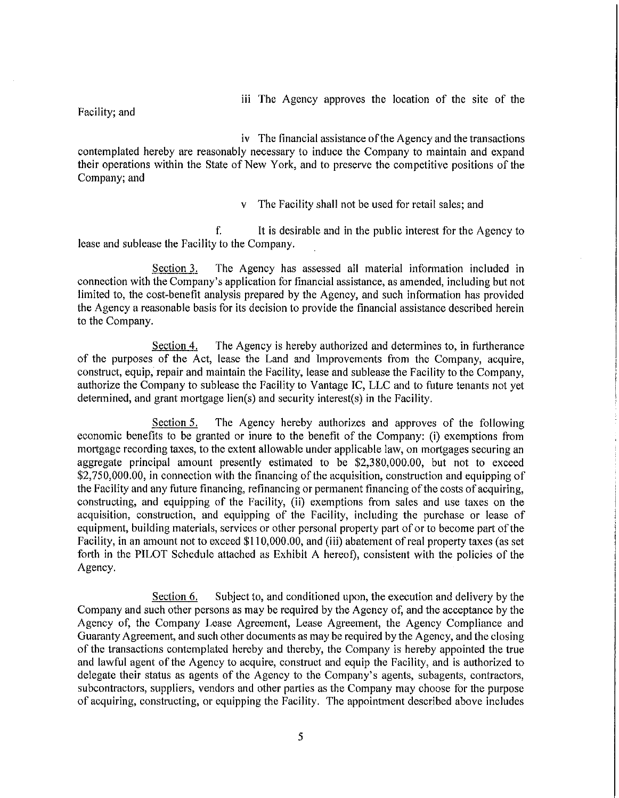iii The Agency approves the location of the site of the

Facility; and

iv The financial assistance of the Agency and the transactions contemplated hereby are reasonably necessary to induce the Company to maintain and expand their operations within the State of New York, and to preserve the competitive positions of the Company; and

v The Facility shall not be used for retail sales; and

f. It is desirable and in the public interest for the Agency to lease and sublease the Facility to the Company.

Section 3. The Agency has assessed all material information included in connection with the Company's application for financial assistance, as amended, including but not limited to, the cost-benefit analysis prepared by the Agency, and such information has provided the Agency a reasonable basis for its decision to provide the financial assistance described herein to the Company.

Section 4. The Agency is hereby authorized and determines to, in furtherance of the purposes of the Act, lease the Land and Improvements from the Company, acquire, construct, equip, repair and maintain the Facility, lease and sublease the Facility to the Company, authorize the Company to sublease the Facility to Vantage IC, LLC and to future tenants not yet determined, and grant mortgage lien(s) and security interest(s) in the Facility.

The Agency hereby authorizes and approves of the following Section 5. economic benefits to be granted or inure to the benefit of the Company; (i) exemptions from mortgage recording taxes, to the extent allowable under applicable law, on mortgages securing an aggregate principal amount presently estimated to be \$2,380,000.00, but not to exceed \$2,750,000.00, in connection with the financing of the acquisition, construction and equipping of the Facility and any future financing, refinancing or permanent financing of the costs of acquiring, constructing, and equipping of the Facility, (ii) exemptions from sales and use taxes on the acquisition, construction, and equipping of the Facility, including the purchase or lease of equipment, building materials, services or other personal property part of or to become part of the Facility, in an amount not to exceed \$110,000.00, and (iii) abatement of real property taxes (as set forth in the PILOT Schedule attached as Exhibit A hereof), consistent with the policies of the Agency.

Subject to, and conditioned upon, the execution and delivery by the Section 6. Company and such other persons as may be required by the Agency of, and the acceptance by the Agency of, the Company Lease Agreement, Lease Agreement, the Agency Compliance and Guaranty Agreement, and such other documents as may be required by the Agency, and the closing of the transactions contemplated hereby and thereby, the Company is hereby appointed the true and lawful agent of the Agency to acquire, construct and equip the Facility, and is authorized to delegate their status as agents of the Agency to the Company's agents, subagents, contractors, subcontractors, suppliers, vendors and other parties as the Company may choose for the purpose of acquiring, constructing, or equipping the Facility. The appointment described above includes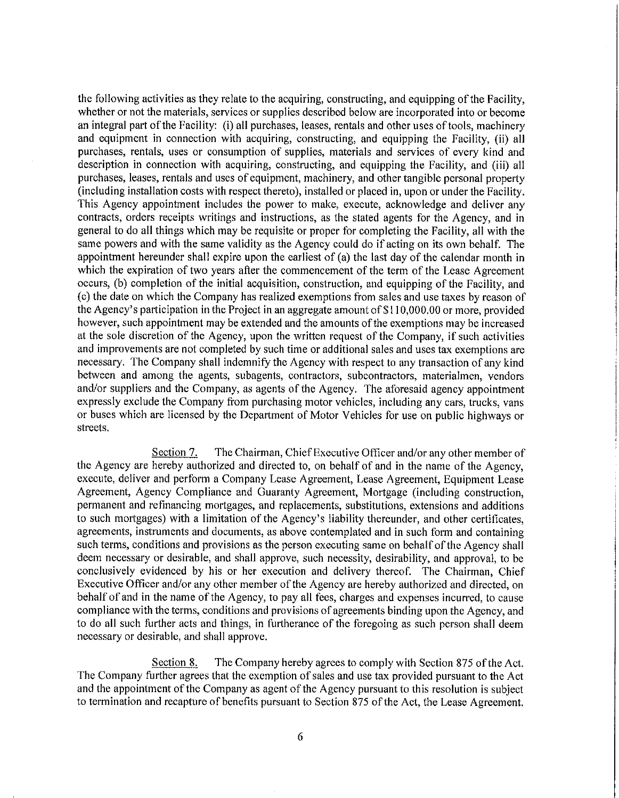the following activities as they relate to the acquiring, constructing, and equipping of the Facility, whether or not the materials, services or supplies described below are incorporated into or become an integral part of the Facility: (i) all purchases, leases, rentals and other uses of tools, machinery and equipment in connection with acquiring, constructing, and equipping the Facility, (ii) all purchases, rentals, uses or consumption of supplies, materials and services of every kind and description in connection with acquiring, constructing, and equipping the Facility, and (iii) all purchases, leases, rentals and uses of equipment, machinery, and other tangible personal property (including installation costs with respect thereto), installed or placed in, upon or under the Facility. This Agency appointment includes the power to make, execute, acknowledge and deliver any contracts, orders receipts writings and instructions, as the stated agents for the Agency, and in general to do all things which may be requisite or proper for completing the Facility, all with the same powers and with the same validity as the Agency could do if acting on its own behalf. The appointment hereunder shall expire upon the earliest of (a) the last day of the calendar month in which the expiration of two years after the commencement of the term of the Lease Agreement occurs, (b) completion of the initial acquisition, construction, and equipping of the Facility, and (c) the date on which the Company has realized exemptions from sales and use taxes by reason of the Agency's participation in the Project in an aggregate amount of \$110,000.00 or more, provided however, such appointment may be extended and the amounts of the exemptions may be increased at the sole discretion of the Agency, upon the written request of the Company, if such activities and improvements are not completed by such time or additional sales and uses tax exemptions are necessary. The Company shall indemnify the Agency with respect to any transaction of any kind between and among the agents, subagents, contractors, subcontractors, materialmen, yendors and/or suppliers and the Company, as agents of the Agency. The aforesaid agency appointment expressly exclude the Company from purchasing motor vehicles, including any cars, trucks, vans or buses which are licensed by the Department of Motor Vehicles for use on public highways or streets.

The Chairman, Chief Executive Officer and/or any other member of Section 7. the Agency are hereby authorized and directed to, on behalf of and in the name of the Agency, execute, deliver and perform a Company Lease Agreement, Lease Agreement, Equipment Lease Agreement, Agency Compliance and Guaranty Agreement, Mortgage (including construction, permanent and refinancing mortgages, and replacements, substitutions, extensions and additions to such mortgages) with a limitation of the Agency's liability thereunder, and other certificates. agreements, instruments and documents, as above contemplated and in such form and containing such terms, conditions and provisions as the person executing same on behalf of the Agency shall deem necessary or desirable, and shall approve, such necessity, desirability, and approval, to be conclusively evidenced by his or her execution and delivery thereof. The Chairman, Chief Executive Officer and/or any other member of the Agency are hereby authorized and directed, on behalf of and in the name of the Agency, to pay all fees, charges and expenses incurred, to cause compliance with the terms, conditions and provisions of agreements binding upon the Agency, and to do all such further acts and things, in furtherance of the foregoing as such person shall deem necessary or desirable, and shall approve.

The Company hereby agrees to comply with Section 875 of the Act. Section 8. The Company further agrees that the exemption of sales and use tax provided pursuant to the Act and the appointment of the Company as agent of the Agency pursuant to this resolution is subject to termination and recapture of benefits pursuant to Section 875 of the Act, the Lease Agreement.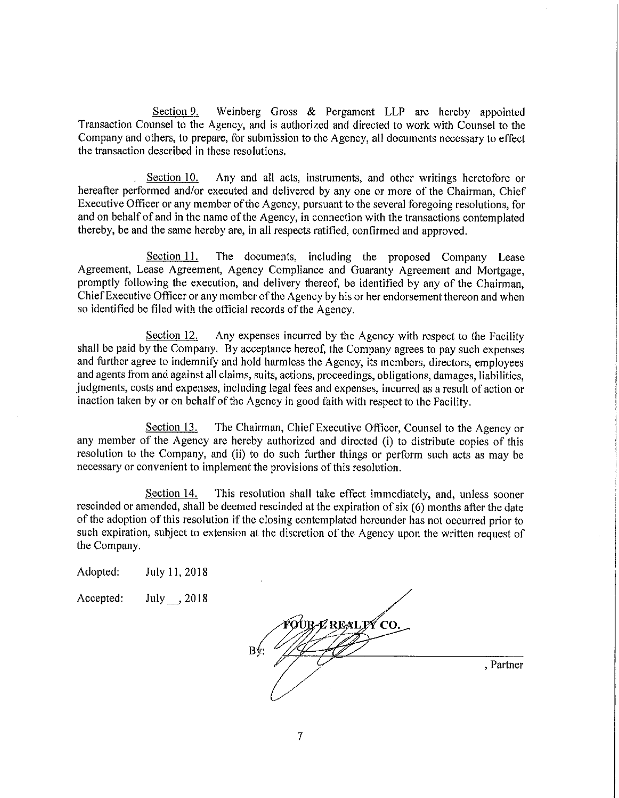Section 9. Weinberg Gross & Pergament LLP are hereby appointed Transaction Counsel to the Agency, and is authorized and directed to work with Counsel to the Company and others, to prepare, for submission to the Agency, all documents necessary to effect the transaction described in these resolutions.

Section 10. Any and all acts, instruments, and other writings heretofore or hereafter performed and/or executed and delivered by any one or more of the Chairman, Chief Executive Officer or any member of the Agency, pursuant to the several foregoing resolutions, for and on behalf of and in the name of the Agency, in connection with the transactions contemplated thereby, be and the same hereby are, in all respects ratified, confirmed and approved.

Section 11. The documents, including the proposed Company Lease Agreement, Lease Agreement, Agency Compliance and Guaranty Agreement and Mortgage, promptly following the execution, and delivery thereof, be identified by any of the Chairman, Chief Executive Officer or any member of the Agency by his or her endorsement thereon and when so identified be filed with the official records of the Agency.

Any expenses incurred by the Agency with respect to the Facility Section 12. shall be paid by the Company. By acceptance hereof, the Company agrees to pay such expenses and further agree to indemnify and hold harmless the Agency, its members, directors, employees and agents from and against all claims, suits, actions, proceedings, obligations, damages, liabilities, judgments, costs and expenses, including legal fees and expenses, incurred as a result of action or inaction taken by or on behalf of the Agency in good faith with respect to the Facility.

Section 13. The Chairman, Chief Executive Officer, Counsel to the Agency or any member of the Agency are hereby authorized and directed (i) to distribute copies of this resolution to the Company, and (ii) to do such further things or perform such acts as may be necessary or convenient to implement the provisions of this resolution.

Section 14. This resolution shall take effect immediately, and, unless sooner rescinded or amended, shall be deemed rescinded at the expiration of six (6) months after the date of the adoption of this resolution if the closing contemplated hereunder has not occurred prior to such expiration, subject to extension at the discretion of the Agency upon the written request of the Company.

| Adopted: | July 11, 2018 |  |
|----------|---------------|--|
|          |               |  |

Accepted: July , 2018

®OUR-L' REALIX∕CO. , Partner